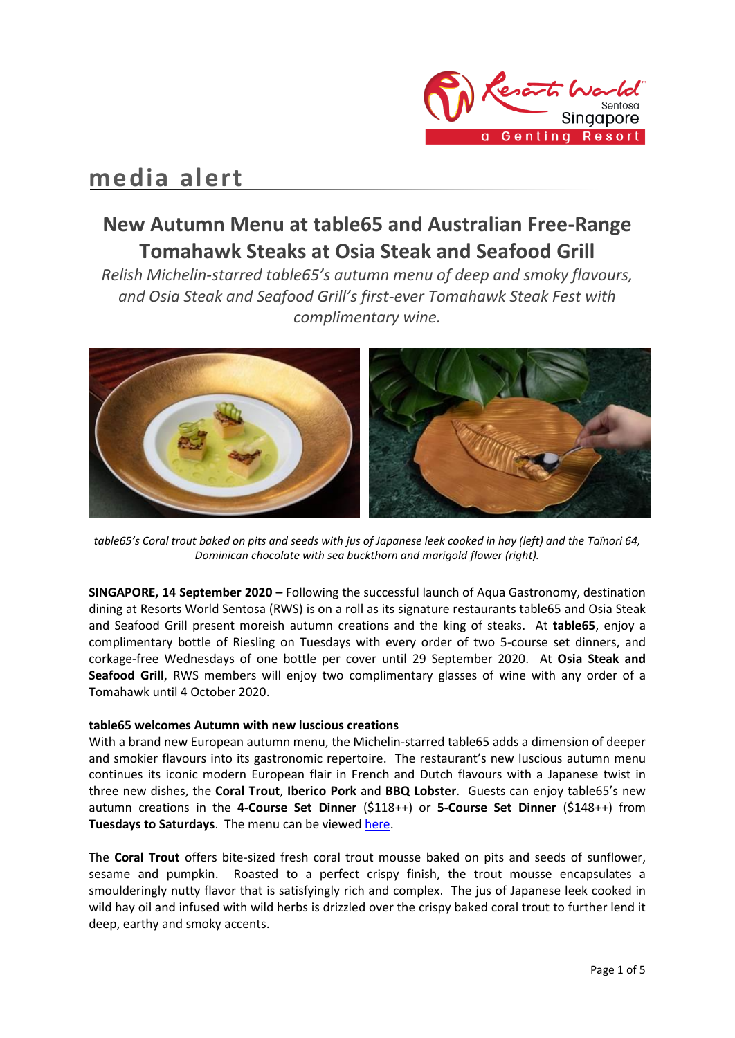

# **media alert**

## **New Autumn Menu at table65 and Australian Free-Range Tomahawk Steaks at Osia Steak and Seafood Grill**

*Relish Michelin-starred table65's autumn menu of deep and smoky flavours, and Osia Steak and Seafood Grill's first-ever Tomahawk Steak Fest with complimentary wine.* 



*table65's Coral trout baked on pits and seeds with jus of Japanese leek cooked in hay (left) and the Taïnori 64, Dominican chocolate with sea buckthorn and marigold flower (right).*

**SINGAPORE, 14 September 2020 –** Following the successful launch of Aqua Gastronomy, destination dining at Resorts World Sentosa (RWS) is on a roll as its signature restaurants table65 and Osia Steak and Seafood Grill present moreish autumn creations and the king of steaks. At **table65**, enjoy a complimentary bottle of Riesling on Tuesdays with every order of two 5-course set dinners, and corkage-free Wednesdays of one bottle per cover until 29 September 2020. At **Osia Steak and Seafood Grill**, RWS members will enjoy two complimentary glasses of wine with any order of a Tomahawk until 4 October 2020.

## **table65 welcomes Autumn with new luscious creations**

With a brand new European autumn menu, the Michelin-starred table65 adds a dimension of deeper and smokier flavours into its gastronomic repertoire. The restaurant's new luscious autumn menu continues its iconic modern European flair in French and Dutch flavours with a Japanese twist in three new dishes, the **Coral Trout**, **Iberico Pork** and **BBQ Lobster**. Guests can enjoy table65's new autumn creations in the **4-Course Set Dinner** (\$118++) or **5-Course Set Dinner** (\$148++) from **Tuesdays to Saturdays**. The menu can be viewe[d here.](https://www.rwsentosa.com/-/media/project/non-gaming/rwsentosa/restaurants/table65/menus/table65-----a-la-carte-n-set-menu-bilingual.pdf)

The **Coral Trout** offers bite-sized fresh coral trout mousse baked on pits and seeds of sunflower, sesame and pumpkin. Roasted to a perfect crispy finish, the trout mousse encapsulates a smoulderingly nutty flavor that is satisfyingly rich and complex. The jus of Japanese leek cooked in wild hay oil and infused with wild herbs is drizzled over the crispy baked coral trout to further lend it deep, earthy and smoky accents.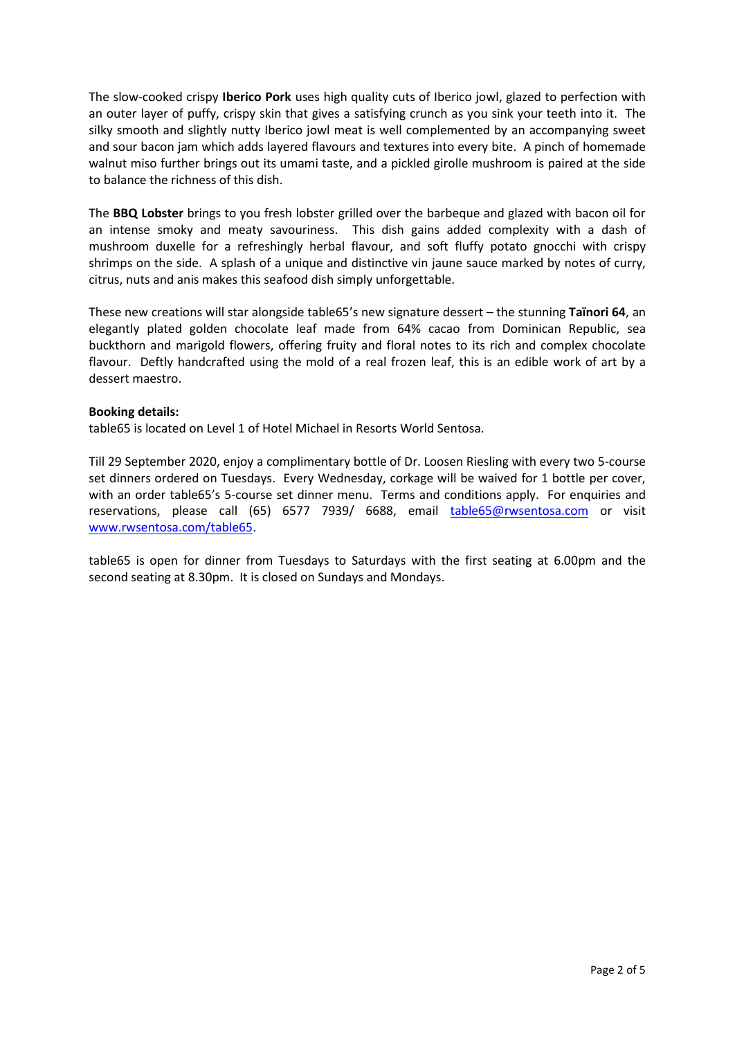The slow-cooked crispy **Iberico Pork** uses high quality cuts of Iberico jowl, glazed to perfection with an outer layer of puffy, crispy skin that gives a satisfying crunch as you sink your teeth into it. The silky smooth and slightly nutty Iberico jowl meat is well complemented by an accompanying sweet and sour bacon jam which adds layered flavours and textures into every bite. A pinch of homemade walnut miso further brings out its umami taste, and a pickled girolle mushroom is paired at the side to balance the richness of this dish.

The **BBQ Lobster** brings to you fresh lobster grilled over the barbeque and glazed with bacon oil for an intense smoky and meaty savouriness. This dish gains added complexity with a dash of mushroom duxelle for a refreshingly herbal flavour, and soft fluffy potato gnocchi with crispy shrimps on the side. A splash of a unique and distinctive vin jaune sauce marked by notes of curry, citrus, nuts and anis makes this seafood dish simply unforgettable.

These new creations will star alongside table65's new signature dessert – the stunning **Taïnori 64**, an elegantly plated golden chocolate leaf made from 64% cacao from Dominican Republic, sea buckthorn and marigold flowers, offering fruity and floral notes to its rich and complex chocolate flavour. Deftly handcrafted using the mold of a real frozen leaf, this is an edible work of art by a dessert maestro.

## **Booking details:**

table65 is located on Level 1 of Hotel Michael in Resorts World Sentosa.

Till 29 September 2020, enjoy a complimentary bottle of Dr. Loosen Riesling with every two 5-course set dinners ordered on Tuesdays. Every Wednesday, corkage will be waived for 1 bottle per cover, with an order table65's 5-course set dinner menu. Terms and conditions apply. For enquiries and reservations, please call (65) 6577 7939/ 6688, email [table65@rwsentosa.com](mailto:table65@rwsentosa.com) or visit [www.rwsentosa.com/table65.](http://www.rwsentosa.com/table65)

table65 is open for dinner from Tuesdays to Saturdays with the first seating at 6.00pm and the second seating at 8.30pm. It is closed on Sundays and Mondays.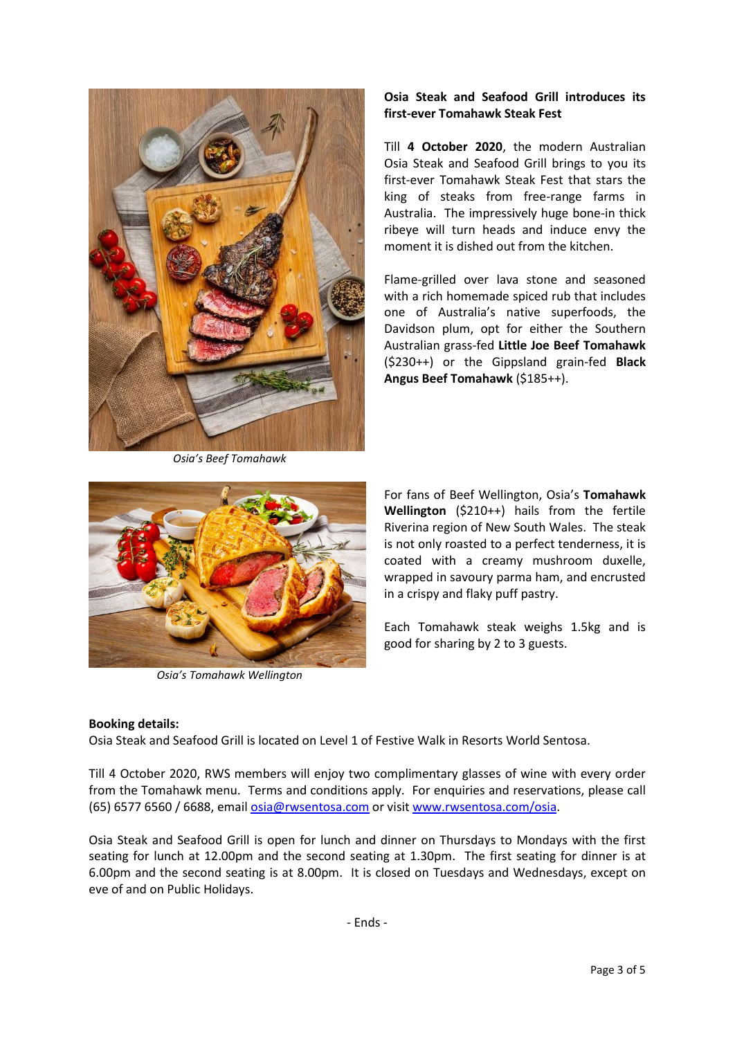

*Osia's Beef Tomahawk*

## **Osia Steak and Seafood Grill introduces its first-ever Tomahawk Steak Fest**

Till **4 October 2020**, the modern Australian Osia Steak and Seafood Grill brings to you its first-ever Tomahawk Steak Fest that stars the king of steaks from free-range farms in Australia. The impressively huge bone-in thick ribeye will turn heads and induce envy the moment it is dished out from the kitchen.

Flame-grilled over lava stone and seasoned with a rich homemade spiced rub that includes one of Australia's native superfoods, the Davidson plum, opt for either the Southern Australian grass-fed **Little Joe Beef Tomahawk** (\$230++) or the Gippsland grain-fed **Black Angus Beef Tomahawk** (\$185++).



*Osia's Tomahawk Wellington*

For fans of Beef Wellington, Osia's **Tomahawk Wellington** (\$210++) hails from the fertile Riverina region of New South Wales. The steak is not only roasted to a perfect tenderness, it is coated with a creamy mushroom duxelle, wrapped in savoury parma ham, and encrusted in a crispy and flaky puff pastry.

Each Tomahawk steak weighs 1.5kg and is good for sharing by 2 to 3 guests.

## **Booking details:**

Osia Steak and Seafood Grill is located on Level 1 of Festive Walk in Resorts World Sentosa.

Till 4 October 2020, RWS members will enjoy two complimentary glasses of wine with every order from the Tomahawk menu. Terms and conditions apply. For enquiries and reservations, please call (65) 6577 6560 / 6688, email [osia@rwsentosa.com](mailto:osia@rwsentosa.com) or visi[t www.rwsentosa.com/osia.](https://www.rwsentosa.com/en/restaurants/osia/overview)

Osia Steak and Seafood Grill is open for lunch and dinner on Thursdays to Mondays with the first seating for lunch at 12.00pm and the second seating at 1.30pm. The first seating for dinner is at 6.00pm and the second seating is at 8.00pm. It is closed on Tuesdays and Wednesdays, except on eve of and on Public Holidays.

- Ends -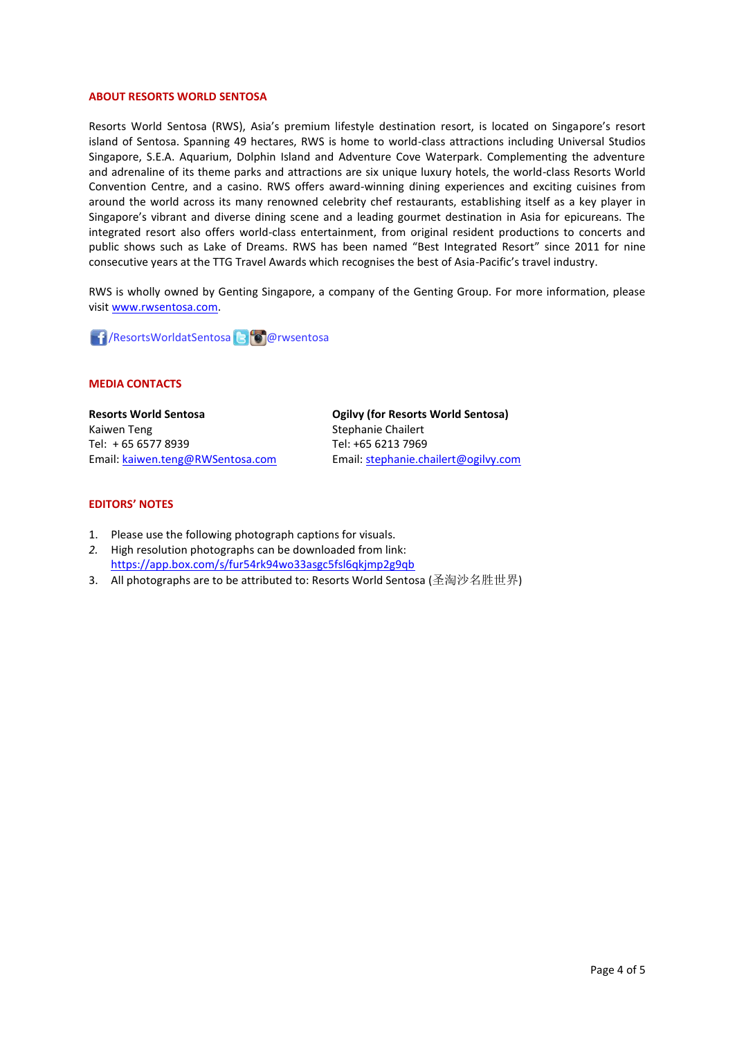#### **ABOUT RESORTS WORLD SENTOSA**

Resorts World Sentosa (RWS), Asia's premium lifestyle destination resort, is located on Singapore's resort island of Sentosa. Spanning 49 hectares, RWS is home to world-class attractions including Universal Studios Singapore, S.E.A. Aquarium, Dolphin Island and Adventure Cove Waterpark. Complementing the adventure and adrenaline of its theme parks and attractions are six unique luxury hotels, the world-class Resorts World Convention Centre, and a casino. RWS offers award-winning dining experiences and exciting cuisines from around the world across its many renowned celebrity chef restaurants, establishing itself as a key player in Singapore's vibrant and diverse dining scene and a leading gourmet destination in Asia for epicureans. The integrated resort also offers world-class entertainment, from original resident productions to concerts and public shows such as Lake of Dreams. RWS has been named "Best Integrated Resort" since 2011 for nine consecutive years at the TTG Travel Awards which recognises the best of Asia-Pacific's travel industry.

RWS is wholly owned by Genting Singapore, a company of the Genting Group. For more information, please visi[t www.rwsentosa.com.](http://www.rwsentosa.com/)

**1 / ResortsWorldatSentosa Brandwich Marwsentosa** 

#### **MEDIA CONTACTS**

**Resorts World Sentosa** Kaiwen Teng Tel: + 65 6577 8939 Email: [kaiwen.teng@RWSentosa.com](mailto:kaiwen.teng@RWSentosa.com) **Ogilvy (for Resorts World Sentosa)** Stephanie Chailert Tel: +65 6213 7969 Email[: stephanie.chailert@ogilvy.com](mailto:stephanie.chailert@ogilvy.com)

#### **EDITORS' NOTES**

- 1. Please use the following photograph captions for visuals.
- *2.* High resolution photographs can be downloaded from link: <https://app.box.com/s/fur54rk94wo33asgc5fsl6qkjmp2g9qb>
- 3. All photographs are to be attributed to: Resorts World Sentosa (圣淘沙名胜世界)